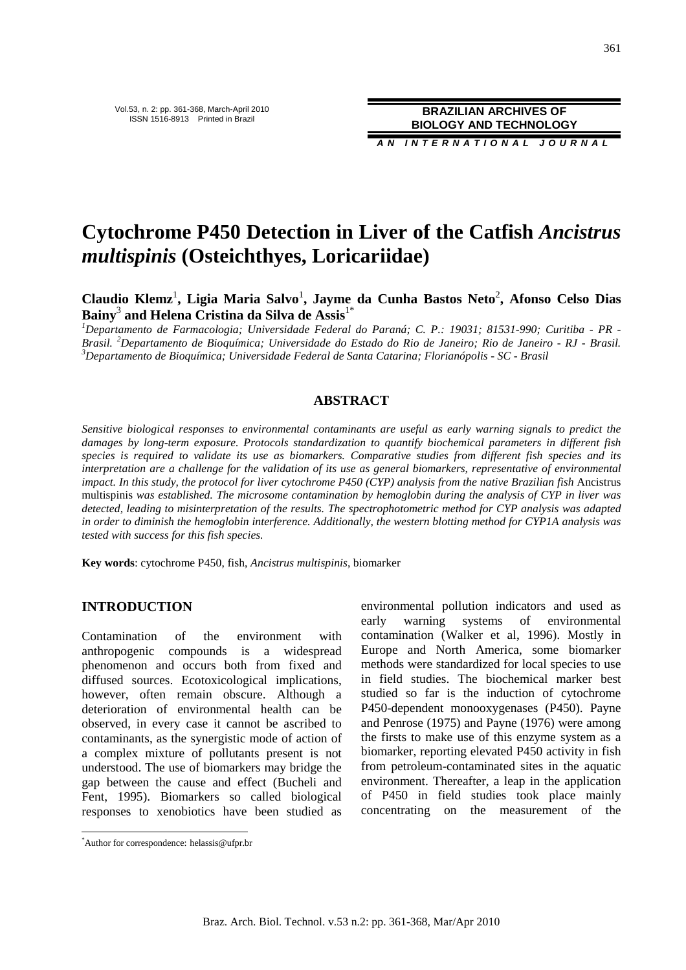**A N I N T E R N A T I O N A L J O U R N A L**

# **Cytochrome P450 Detection in Liver of the Catfish** *Ancistrus multispinis* **(Osteichthyes, Loricariidae)**

Claudio Klemz<sup>1</sup>, Ligia Maria Salvo<sup>1</sup>, Jayme da Cunha Bastos Neto<sup>2</sup>, Afonso Celso Dias **Bainy**<sup>3</sup>  **and Helena Cristina da Silva de Assis**1\*

*<sup>1</sup>Departamento de Farmacologia; Universidade Federal do Paraná; C. P.: 19031; 81531-990; Curitiba - PR - Brasil. <sup>2</sup>Departamento de Bioquímica; Universidade do Estado do Rio de Janeiro; Rio de Janeiro - RJ - Brasil. <sup>3</sup>Departamento de Bioquímica; Universidade Federal de Santa Catarina; Florianópolis - SC - Brasil*

# **ABSTRACT**

*Sensitive biological responses to environmental contaminants are useful as early warning signals to predict the damages by long-term exposure. Protocols standardization to quantify biochemical parameters in different fish species is required to validate its use as biomarkers. Comparative studies from different fish species and its interpretation are a challenge for the validation of its use as general biomarkers, representative of environmental impact. In this study, the protocol for liver cytochrome P450 (CYP) analysis from the native Brazilian fish* Ancistrus multispinis *was established. The microsome contamination by hemoglobin during the analysis of CYP in liver was detected, leading to misinterpretation of the results. The spectrophotometric method for CYP analysis was adapted in order to diminish the hemoglobin interference. Additionally, the western blotting method for CYP1A analysis was tested with success for this fish species.* 

**Key words**: cytochrome P450, fish, *Ancistrus multispinis*, biomarker

# **INTRODUCTION**

Contamination of the environment with anthropogenic compounds is a widespread phenomenon and occurs both from fixed and diffused sources. Ecotoxicological implications, however, often remain obscure. Although a deterioration of environmental health can be observed, in every case it cannot be ascribed to contaminants, as the synergistic mode of action of a complex mixture of pollutants present is not understood. The use of biomarkers may bridge the gap between the cause and effect (Bucheli and Fent, 1995). Biomarkers so called biological responses to xenobiotics have been studied as environmental pollution indicators and used as early warning systems of environmental contamination (Walker et al, 1996). Mostly in Europe and North America, some biomarker methods were standardized for local species to use in field studies. The biochemical marker best studied so far is the induction of cytochrome P450-dependent monooxygenases (P450). Payne and Penrose (1975) and Payne (1976) were among the firsts to make use of this enzyme system as a biomarker, reporting elevated P450 activity in fish from petroleum-contaminated sites in the aquatic environment. Thereafter, a leap in the application of P450 in field studies took place mainly concentrating on the measurement of the

 $\overline{a}$ 

<sup>\*</sup>Author for correspondence: helassis@ufpr.br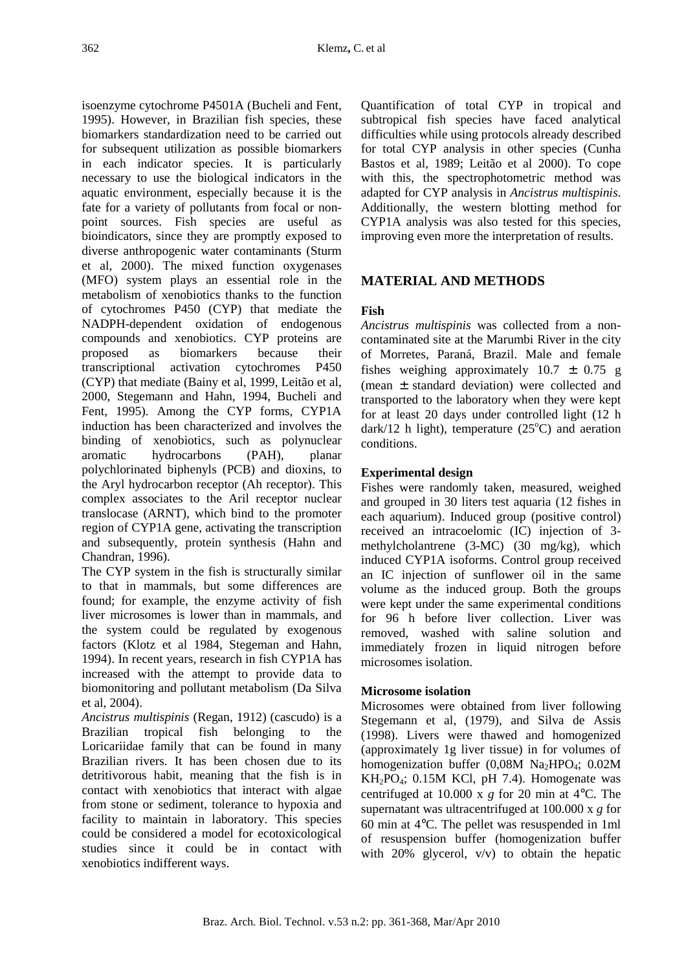isoenzyme cytochrome P4501A (Bucheli and Fent, 1995). However, in Brazilian fish species, these biomarkers standardization need to be carried out for subsequent utilization as possible biomarkers in each indicator species. It is particularly necessary to use the biological indicators in the aquatic environment, especially because it is the fate for a variety of pollutants from focal or nonpoint sources. Fish species are useful as bioindicators, since they are promptly exposed to diverse anthropogenic water contaminants (Sturm et al, 2000). The mixed function oxygenases (MFO) system plays an essential role in the metabolism of xenobiotics thanks to the function of cytochromes P450 (CYP) that mediate the NADPH-dependent oxidation of endogenous compounds and xenobiotics. CYP proteins are proposed as biomarkers because their transcriptional activation cytochromes P450 (CYP) that mediate (Bainy et al, 1999, Leitão et al, 2000, Stegemann and Hahn, 1994, Bucheli and Fent, 1995). Among the CYP forms, CYP1A induction has been characterized and involves the binding of xenobiotics, such as polynuclear aromatic hydrocarbons (PAH), planar polychlorinated biphenyls (PCB) and dioxins, to the Aryl hydrocarbon receptor (Ah receptor). This complex associates to the Aril receptor nuclear translocase (ARNT), which bind to the promoter region of CYP1A gene, activating the transcription and subsequently, protein synthesis (Hahn and Chandran, 1996).

The CYP system in the fish is structurally similar to that in mammals, but some differences are found; for example, the enzyme activity of fish liver microsomes is lower than in mammals, and the system could be regulated by exogenous factors (Klotz et al 1984, Stegeman and Hahn, 1994). In recent years, research in fish CYP1A has increased with the attempt to provide data to biomonitoring and pollutant metabolism (Da Silva et al, 2004).

*Ancistrus multispinis* (Regan, 1912) (cascudo) is a Brazilian tropical fish belonging to the Loricariidae family that can be found in many Brazilian rivers. It has been chosen due to its detritivorous habit, meaning that the fish is in contact with xenobiotics that interact with algae from stone or sediment, tolerance to hypoxia and facility to maintain in laboratory. This species could be considered a model for ecotoxicological studies since it could be in contact with xenobiotics indifferent ways.

Quantification of total CYP in tropical and subtropical fish species have faced analytical difficulties while using protocols already described for total CYP analysis in other species (Cunha Bastos et al, 1989; Leitão et al 2000). To cope with this, the spectrophotometric method was adapted for CYP analysis in *Ancistrus multispinis*. Additionally, the western blotting method for CYP1A analysis was also tested for this species, improving even more the interpretation of results.

# **MATERIAL AND METHODS**

# **Fish**

*Ancistrus multispinis* was collected from a noncontaminated site at the Marumbi River in the city of Morretes, Paraná, Brazil. Male and female fishes weighing approximately  $10.7 \pm 0.75$  g (mean ± standard deviation) were collected and transported to the laboratory when they were kept for at least 20 days under controlled light (12 h dark/12 h light), temperature  $(25^{\circ}C)$  and aeration conditions.

# **Experimental design**

Fishes were randomly taken, measured, weighed and grouped in 30 liters test aquaria (12 fishes in each aquarium). Induced group (positive control) received an intracoelomic (IC) injection of 3 methylcholantrene (3-MC) (30 mg/kg), which induced CYP1A isoforms. Control group received an IC injection of sunflower oil in the same volume as the induced group. Both the groups were kept under the same experimental conditions for 96 h before liver collection. Liver was removed, washed with saline solution and immediately frozen in liquid nitrogen before microsomes isolation.

# **Microsome isolation**

Microsomes were obtained from liver following Stegemann et al, (1979), and Silva de Assis (1998). Livers were thawed and homogenized (approximately 1g liver tissue) in for volumes of homogenization buffer  $(0,08M \text{ Na}_2\text{HPO}_4; 0.02M$  $KH_2PO_4$ ; 0.15M KCl, pH 7.4). Homogenate was centrifuged at 10.000 x *g* for 20 min at 4°C. The supernatant was ultracentrifuged at 100.000 x *g* for 60 min at 4°C. The pellet was resuspended in 1ml of resuspension buffer (homogenization buffer with 20% glycerol,  $v/v$  to obtain the hepatic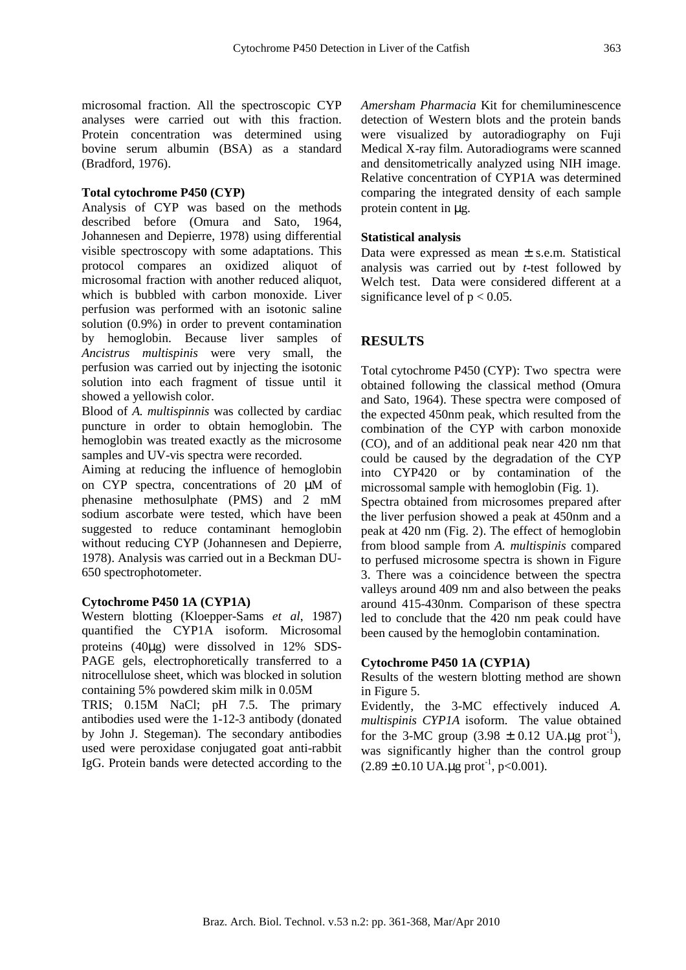microsomal fraction. All the spectroscopic CYP analyses were carried out with this fraction. Protein concentration was determined using bovine serum albumin (BSA) as a standard (Bradford, 1976).

#### **Total cytochrome P450 (CYP)**

Analysis of CYP was based on the methods described before (Omura and Sato, 1964, Johannesen and Depierre, 1978) using differential visible spectroscopy with some adaptations. This protocol compares an oxidized aliquot of microsomal fraction with another reduced aliquot, which is bubbled with carbon monoxide. Liver perfusion was performed with an isotonic saline solution (0.9%) in order to prevent contamination by hemoglobin. Because liver samples of *Ancistrus multispinis* were very small, the perfusion was carried out by injecting the isotonic solution into each fragment of tissue until it showed a yellowish color.

Blood of *A. multispinnis* was collected by cardiac puncture in order to obtain hemoglobin. The hemoglobin was treated exactly as the microsome samples and UV-vis spectra were recorded.

Aiming at reducing the influence of hemoglobin on CYP spectra, concentrations of 20 µM of phenasine methosulphate (PMS) and 2 mM sodium ascorbate were tested, which have been suggested to reduce contaminant hemoglobin without reducing CYP (Johannesen and Depierre, 1978). Analysis was carried out in a Beckman DU-650 spectrophotometer.

#### **Cytochrome P450 1A (CYP1A)**

Western blotting (Kloepper-Sams *et al*, 1987) quantified the CYP1A isoform. Microsomal proteins (40µg) were dissolved in 12% SDS-PAGE gels, electrophoretically transferred to a nitrocellulose sheet, which was blocked in solution containing 5% powdered skim milk in 0.05M

TRIS; 0.15M NaCl; pH 7.5. The primary antibodies used were the 1-12-3 antibody (donated by John J. Stegeman). The secondary antibodies used were peroxidase conjugated goat anti-rabbit IgG. Protein bands were detected according to the *Amersham Pharmacia* Kit for chemiluminescence detection of Western blots and the protein bands were visualized by autoradiography on Fuji Medical X-ray film. Autoradiograms were scanned and densitometrically analyzed using NIH image. Relative concentration of CYP1A was determined comparing the integrated density of each sample protein content in µg.

#### **Statistical analysis**

Data were expressed as mean  $\pm$  s.e.m. Statistical analysis was carried out by *t*-test followed by Welch test. Data were considered different at a significance level of  $p < 0.05$ .

## **RESULTS**

Total cytochrome P450 (CYP): Two spectra were obtained following the classical method (Omura and Sato, 1964). These spectra were composed of the expected 450nm peak, which resulted from the combination of the CYP with carbon monoxide (CO), and of an additional peak near 420 nm that could be caused by the degradation of the CYP into CYP420 or by contamination of the microssomal sample with hemoglobin (Fig. 1). Spectra obtained from microsomes prepared after the liver perfusion showed a peak at 450nm and a peak at 420 nm (Fig. 2). The effect of hemoglobin from blood sample from *A. multispinis* compared to perfused microsome spectra is shown in Figure 3. There was a coincidence between the spectra valleys around 409 nm and also between the peaks around 415-430nm. Comparison of these spectra led to conclude that the 420 nm peak could have been caused by the hemoglobin contamination.

#### **Cytochrome P450 1A (CYP1A)**

Results of the western blotting method are shown in Figure 5.

Evidently, the 3-MC effectively induced *A. multispinis CYP1A* isoform. The value obtained for the 3-MC group  $(3.98 \pm 0.12 \text{ UA} \cdot \mu \text{g} \text{prot}^{-1})$ , was significantly higher than the control group  $(2.89 \pm 0.10 \text{ UA} \cdot \text{kg} \text{prot}^{-1}, \text{p} < 0.001).$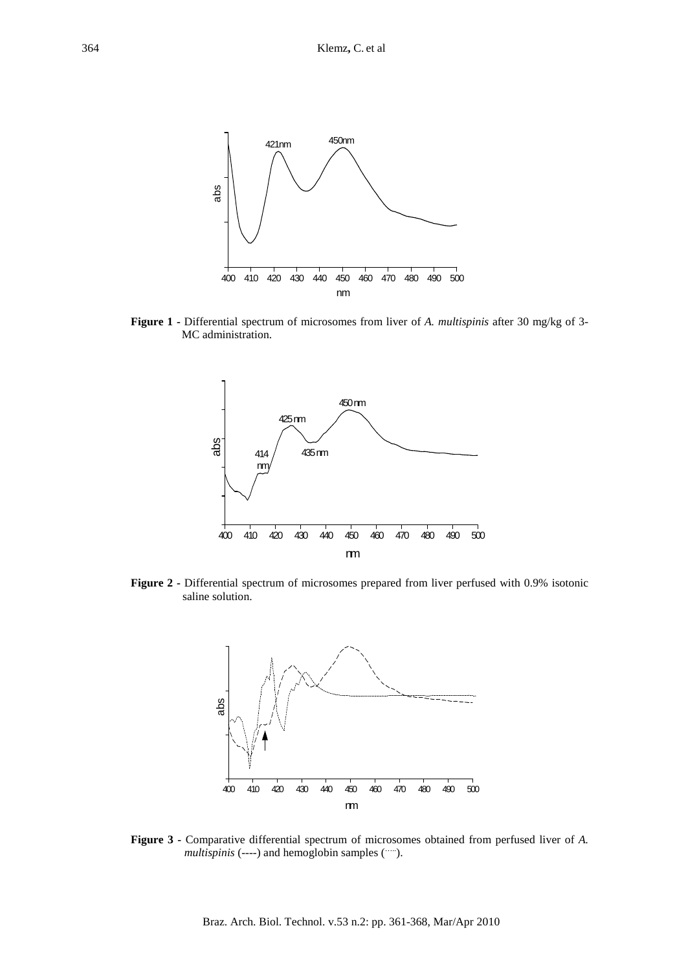

**Figure 1 -** Differential spectrum of microsomes from liver of *A. multispinis* after 30 mg/kg of 3- MC administration.



**Figure 2 -** Differential spectrum of microsomes prepared from liver perfused with 0.9% isotonic saline solution.



**Figure 3 -** Comparative differential spectrum of microsomes obtained from perfused liver of *A. multispinis* (----) and hemoglobin samples (….).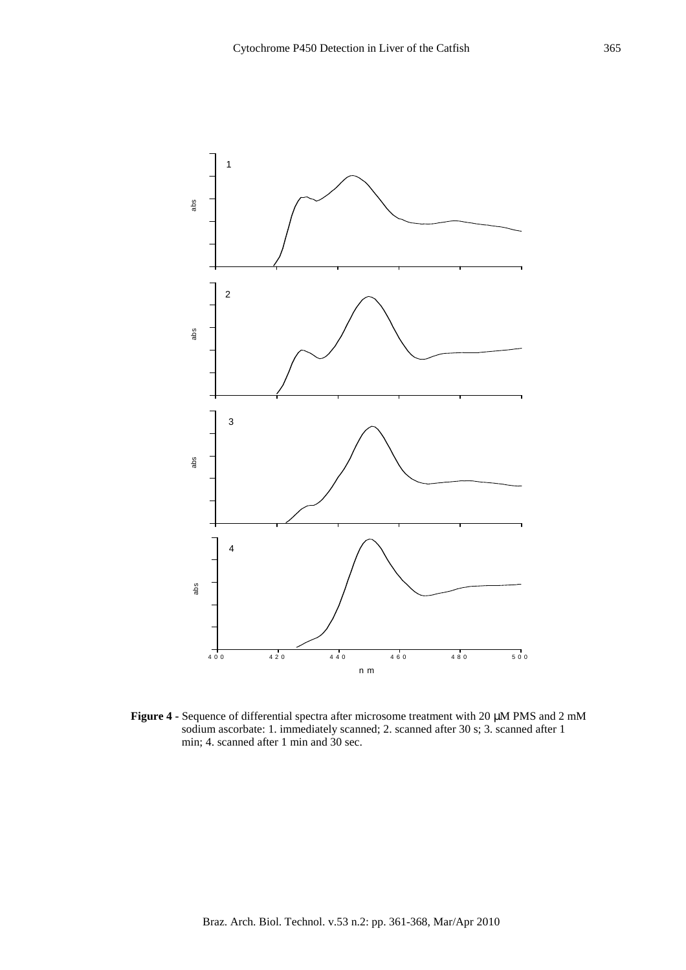

**Figure 4 -** Sequence of differential spectra after microsome treatment with 20 µM PMS and 2 mM sodium ascorbate: 1. immediately scanned; 2. scanned after 30 s; 3. scanned after 1 min; 4. scanned after 1 min and 30 sec.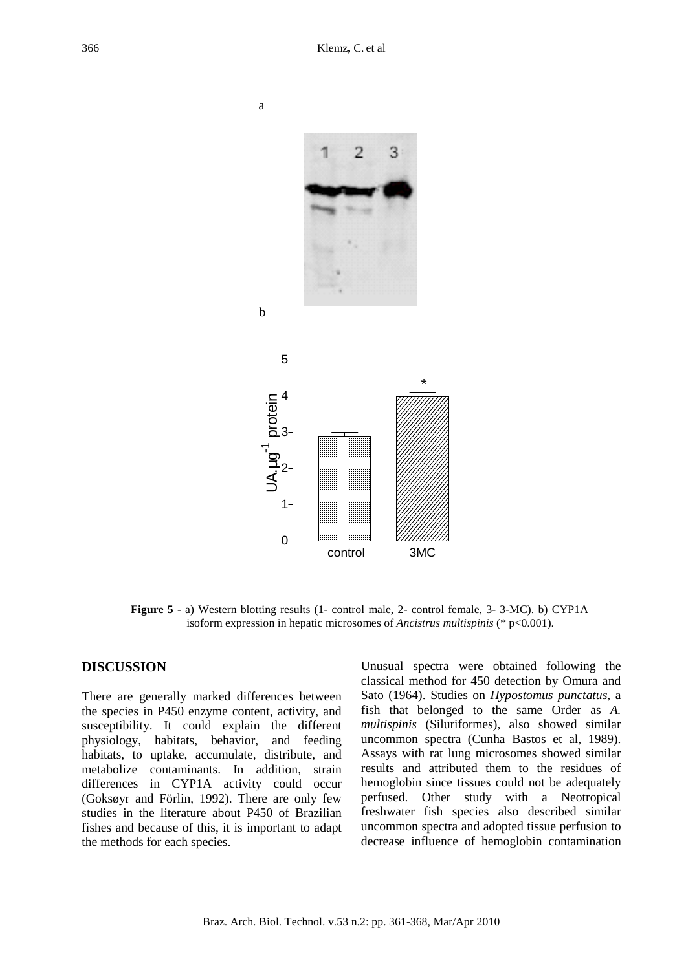

**Figure 5 -** a) Western blotting results (1- control male, 2- control female, 3- 3-MC). b) CYP1A isoform expression in hepatic microsomes of *Ancistrus multispinis* (\* p<0.001).

### **DISCUSSION**

There are generally marked differences between the species in P450 enzyme content, activity, and susceptibility. It could explain the different physiology, habitats, behavior, and feeding habitats, to uptake, accumulate, distribute, and metabolize contaminants. In addition, strain differences in CYP1A activity could occur (Goksøyr and Förlin, 1992). There are only few studies in the literature about P450 of Brazilian fishes and because of this, it is important to adapt the methods for each species.

Unusual spectra were obtained following the classical method for 450 detection by Omura and Sato (1964). Studies on *Hypostomus punctatus*, a fish that belonged to the same Order as *A. multispinis* (Siluriformes), also showed similar uncommon spectra (Cunha Bastos et al, 1989). Assays with rat lung microsomes showed similar results and attributed them to the residues of hemoglobin since tissues could not be adequately perfused. Other study with a Neotropical freshwater fish species also described similar uncommon spectra and adopted tissue perfusion to decrease influence of hemoglobin contamination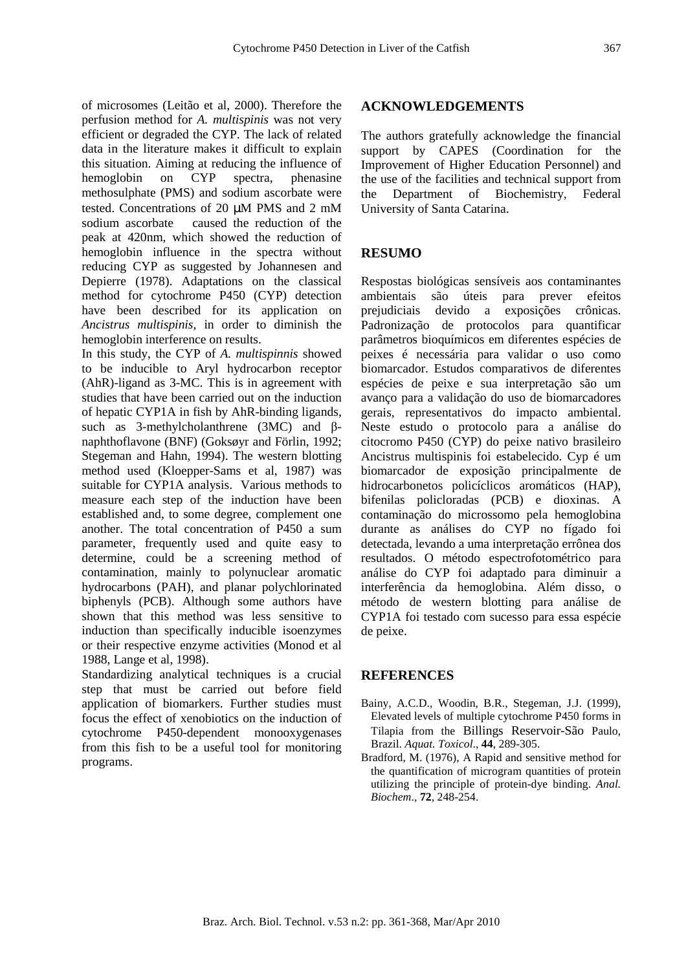of microsomes (Leitão et al, 2000). Therefore the perfusion method for *A. multispinis* was not very efficient or degraded the CYP. The lack of related data in the literature makes it difficult to explain this situation. Aiming at reducing the influence of hemoglobin on CYP spectra, phenasine methosulphate (PMS) and sodium ascorbate were tested. Concentrations of 20 µM PMS and 2 mM sodium ascorbate caused the reduction of the peak at 420nm, which showed the reduction of hemoglobin influence in the spectra without reducing CYP as suggested by Johannesen and Depierre (1978). Adaptations on the classical method for cytochrome P450 (CYP) detection have been described for its application on *Ancistrus multispinis,* in order to diminish the hemoglobin interference on results.

In this study, the CYP of *A. multispinnis* showed to be inducible to Aryl hydrocarbon receptor (AhR)-ligand as 3-MC. This is in agreement with studies that have been carried out on the induction of hepatic CYP1A in fish by AhR-binding ligands, such as 3-methylcholanthrene (3MC) and βnaphthoflavone (BNF) (Goksøyr and Förlin, 1992; Stegeman and Hahn, 1994). The western blotting method used (Kloepper-Sams et al, 1987) was suitable for CYP1A analysis. Various methods to measure each step of the induction have been established and, to some degree, complement one another. The total concentration of P450 a sum parameter, frequently used and quite easy to determine, could be a screening method of contamination, mainly to polynuclear aromatic hydrocarbons (PAH), and planar polychlorinated biphenyls (PCB). Although some authors have shown that this method was less sensitive to induction than specifically inducible isoenzymes or their respective enzyme activities (Monod et al 1988, Lange et al, 1998).

Standardizing analytical techniques is a crucial step that must be carried out before field application of biomarkers. Further studies must focus the effect of xenobiotics on the induction of cytochrome P450-dependent monooxygenases from this fish to be a useful tool for monitoring programs.

#### **ACKNOWLEDGEMENTS**

The authors gratefully acknowledge the financial support by CAPES (Coordination for the Improvement of Higher Education Personnel) and the use of the facilities and technical support from the Department of Biochemistry, Federal University of Santa Catarina.

## **RESUMO**

Respostas biológicas sensíveis aos contaminantes ambientais são úteis para prever efeitos prejudiciais devido a exposições crônicas. Padronização de protocolos para quantificar parâmetros bioquímicos em diferentes espécies de peixes é necessária para validar o uso como biomarcador. Estudos comparativos de diferentes espécies de peixe e sua interpretação são um avanço para a validação do uso de biomarcadores gerais, representativos do impacto ambiental. Neste estudo o protocolo para a análise do citocromo P450 (CYP) do peixe nativo brasileiro Ancistrus multispinis foi estabelecido. Cyp é um biomarcador de exposição principalmente de hidrocarbonetos policíclicos aromáticos (HAP), bifenilas policloradas (PCB) e dioxinas. A contaminação do microssomo pela hemoglobina durante as análises do CYP no fígado foi detectada, levando a uma interpretação errônea dos resultados. O método espectrofotométrico para análise do CYP foi adaptado para diminuir a interferência da hemoglobina. Além disso, o método de western blotting para análise de CYP1A foi testado com sucesso para essa espécie de peixe.

### **REFERENCES**

- Bainy, A.C.D., Woodin, B.R., Stegeman, J.J. (1999), Elevated levels of multiple cytochrome P450 forms in Tilapia from the Billings Reservoir-São Paulo, Brazil. *Aquat. Toxicol*., **44**, 289-305.
- Bradford, M. (1976), A Rapid and sensitive method for the quantification of microgram quantities of protein utilizing the principle of protein-dye binding. *Anal. Biochem*., **72**, 248-254.